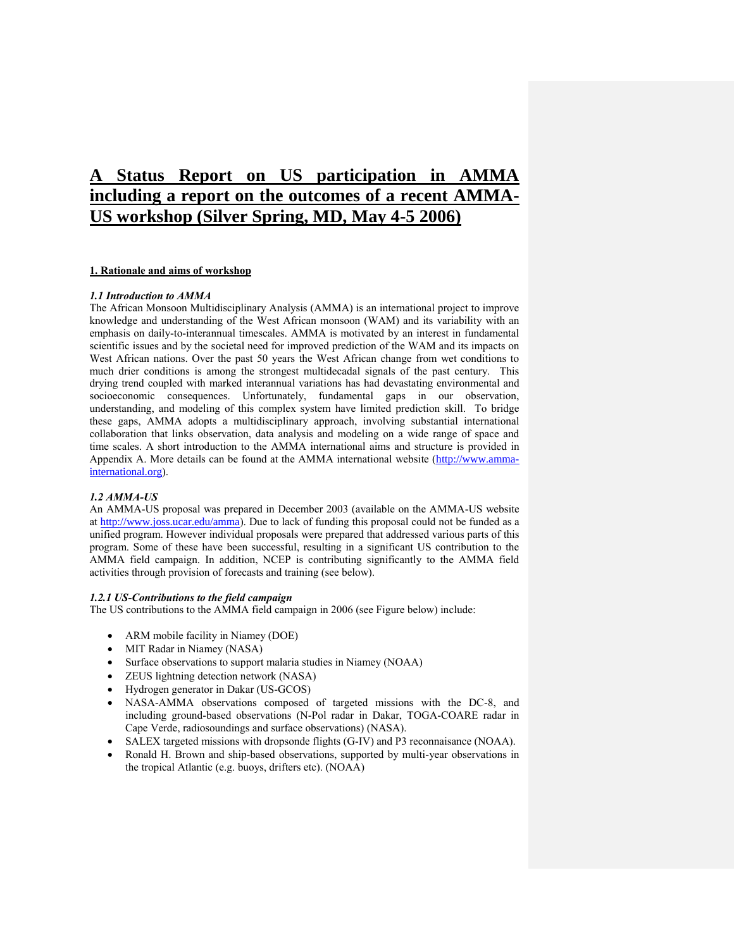# **A Status Report on US participation in AMMA including a report on the outcomes of a recent AMMA-US workshop (Silver Spring, MD, May 4-5 2006)**

## **1. Rationale and aims of workshop**

#### *1.1 Introduction to AMMA*

The African Monsoon Multidisciplinary Analysis (AMMA) is an international project to improve knowledge and understanding of the West African monsoon (WAM) and its variability with an emphasis on daily-to-interannual timescales. AMMA is motivated by an interest in fundamental scientific issues and by the societal need for improved prediction of the WAM and its impacts on West African nations. Over the past 50 years the West African change from wet conditions to much drier conditions is among the strongest multidecadal signals of the past century. This drying trend coupled with marked interannual variations has had devastating environmental and socioeconomic consequences. Unfortunately, fundamental gaps in our observation, understanding, and modeling of this complex system have limited prediction skill. To bridge these gaps, AMMA adopts a multidisciplinary approach, involving substantial international collaboration that links observation, data analysis and modeling on a wide range of space and time scales. A short introduction to the AMMA international aims and structure is provided in Appendix A. More details can be found at the AMMA international website ([http://www.amma](http://www.amma-international.org/)[international.org](http://www.amma-international.org/)).

#### *1.2 AMMA-US*

An AMMA-US proposal was prepared in December 2003 (available on the AMMA-US website at <http://www.joss.ucar.edu/amma>). Due to lack of funding this proposal could not be funded as a unified program. However individual proposals were prepared that addressed various parts of this program. Some of these have been successful, resulting in a significant US contribution to the AMMA field campaign. In addition, NCEP is contributing significantly to the AMMA field activities through provision of forecasts and training (see below).

#### *1.2.1 US-Contributions to the field campaign*

The US contributions to the AMMA field campaign in 2006 (see Figure below) include:

- ARM mobile facility in Niamey (DOE)
- MIT Radar in Niamey (NASA)
- Surface observations to support malaria studies in Niamey (NOAA)
- **ZEUS** lightning detection network (NASA)
- Hydrogen generator in Dakar (US-GCOS)
- NASA-AMMA observations composed of targeted missions with the DC-8, and including ground-based observations (N-Pol radar in Dakar, TOGA-COARE radar in Cape Verde, radiosoundings and surface observations) (NASA).
- SALEX targeted missions with dropsonde flights (G-IV) and P3 reconnaisance (NOAA).
- Ronald H. Brown and ship-based observations, supported by multi-year observations in the tropical Atlantic (e.g. buoys, drifters etc). (NOAA)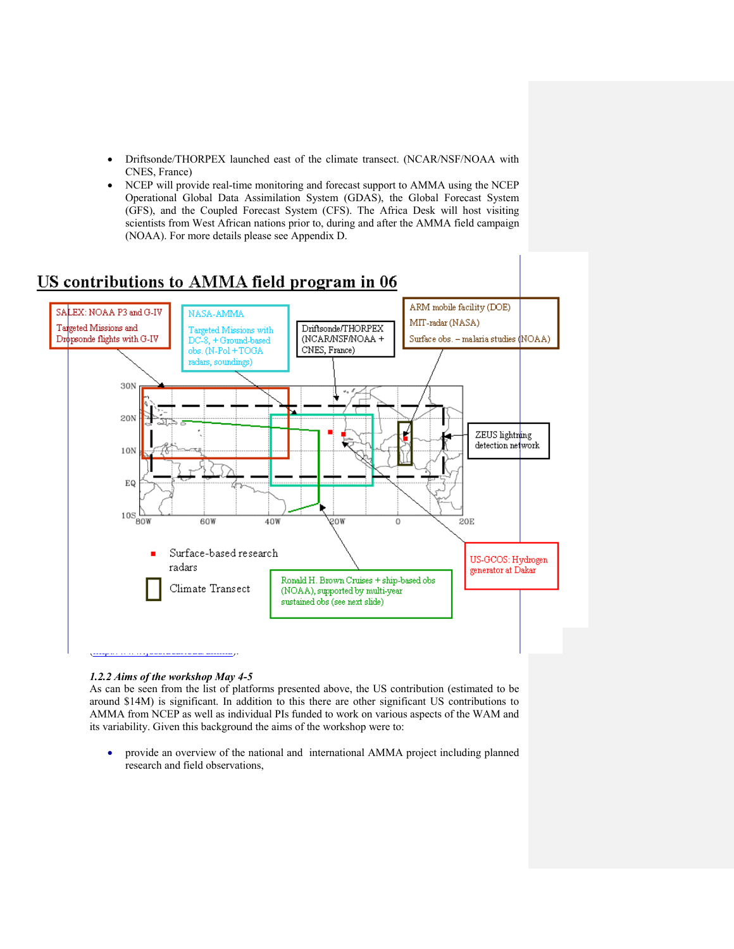- Driftsonde/THORPEX launched east of the climate transect. (NCAR/NSF/NOAA with CNES, France)
- NCEP will provide real-time monitoring and forecast support to AMMA using the NCEP Operational Global Data Assimilation System (GDAS), the Global Forecast System (GFS), and the Coupled Forecast System (CFS). The Africa Desk will host visiting scientists from West African nations prior to, during and after the AMMA field campaign (NOAA). For more details please see Appendix D.

# US contributions to AMMA field program in 06



## *1.2.2 Aims of the workshop May 4-5*

As can be seen from the list of platforms presented above, the US contribution (estimated to be around \$14M) is significant. In addition to this there are other significant US contributions to AMMA from NCEP as well as individual PIs funded to work on various aspects of the WAM and its variability. Given this background the aims of the workshop were to:

 provide an overview of the national and international AMMA project including planned research and field observations,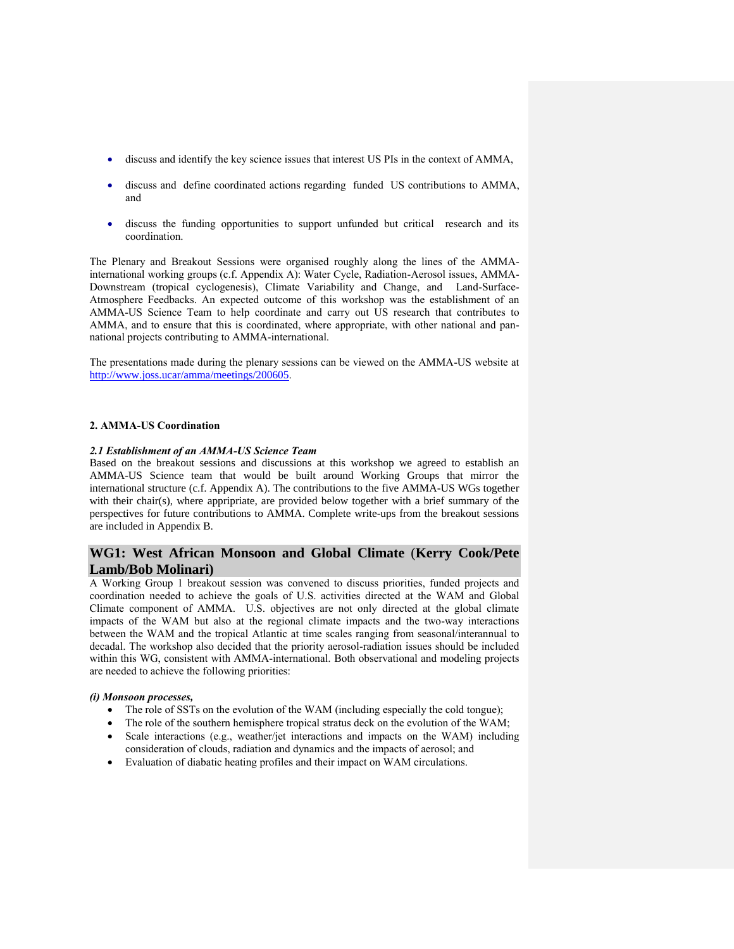- discuss and identify the key science issues that interest US PIs in the context of AMMA,
- discuss and define coordinated actions regarding funded US contributions to AMMA, and
- discuss the funding opportunities to support unfunded but critical research and its coordination.

The Plenary and Breakout Sessions were organised roughly along the lines of the AMMAinternational working groups (c.f. Appendix A): Water Cycle, Radiation-Aerosol issues, AMMA-Downstream (tropical cyclogenesis), Climate Variability and Change, and Land-Surface-Atmosphere Feedbacks. An expected outcome of this workshop was the establishment of an AMMA-US Science Team to help coordinate and carry out US research that contributes to AMMA, and to ensure that this is coordinated, where appropriate, with other national and pannational projects contributing to AMMA-international.

The presentations made during the plenary sessions can be viewed on the AMMA-US website at <http://www.joss.ucar/amma/meetings/200605>.

#### **2. AMMA-US Coordination**

#### *2.1 Establishment of an AMMA-US Science Team*

Based on the breakout sessions and discussions at this workshop we agreed to establish an AMMA-US Science team that would be built around Working Groups that mirror the international structure (c.f. Appendix A). The contributions to the five AMMA-US WGs together with their chair(s), where appripriate, are provided below together with a brief summary of the perspectives for future contributions to AMMA. Complete write-ups from the breakout sessions are included in Appendix B.

## **WG1: West African Monsoon and Global Climate** (**Kerry Cook/Pete Lamb/Bob Molinari)**

A Working Group 1 breakout session was convened to discuss priorities, funded projects and coordination needed to achieve the goals of U.S. activities directed at the WAM and Global Climate component of AMMA. U.S. objectives are not only directed at the global climate impacts of the WAM but also at the regional climate impacts and the two-way interactions between the WAM and the tropical Atlantic at time scales ranging from seasonal/interannual to decadal. The workshop also decided that the priority aerosol-radiation issues should be included within this WG, consistent with AMMA-international. Both observational and modeling projects are needed to achieve the following priorities:

#### *(i) Monsoon processes,*

- The role of SSTs on the evolution of the WAM (including especially the cold tongue);
- The role of the southern hemisphere tropical stratus deck on the evolution of the WAM;
- Scale interactions (e.g., weather/jet interactions and impacts on the WAM) including consideration of clouds, radiation and dynamics and the impacts of aerosol; and
- Evaluation of diabatic heating profiles and their impact on WAM circulations.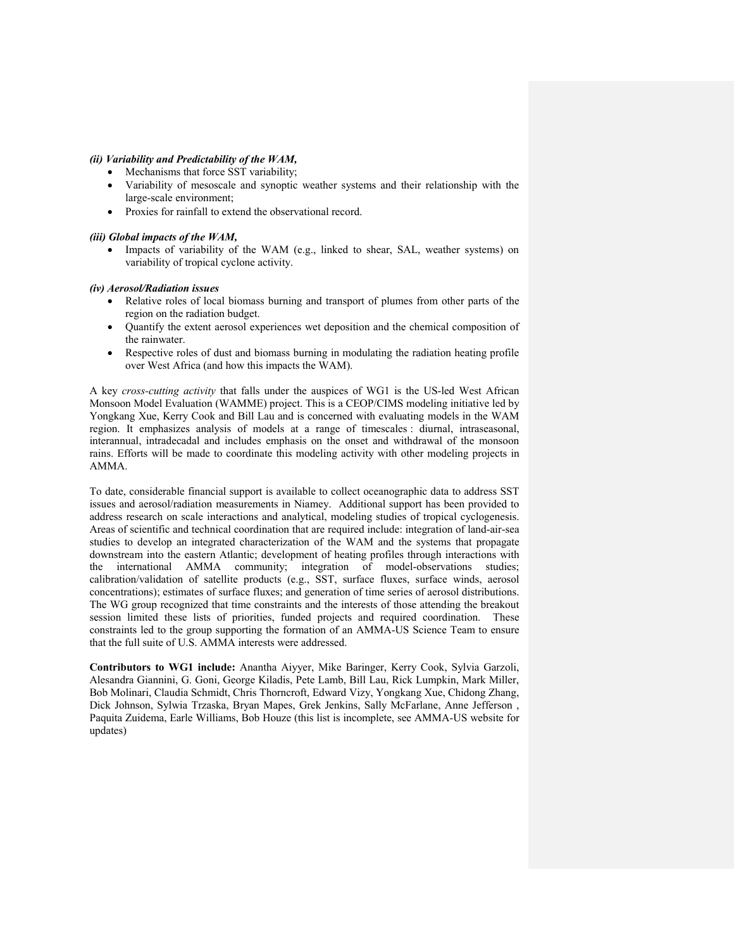#### *(ii) Variability and Predictability of the WAM,*

- Mechanisms that force SST variability;
- Variability of mesoscale and synoptic weather systems and their relationship with the large-scale environment;
- Proxies for rainfall to extend the observational record.

*(iii) Global impacts of the WAM,* 

 Impacts of variability of the WAM (e.g., linked to shear, SAL, weather systems) on variability of tropical cyclone activity.

## *(iv) Aerosol/Radiation issues*

- Relative roles of local biomass burning and transport of plumes from other parts of the region on the radiation budget.
- Quantify the extent aerosol experiences wet deposition and the chemical composition of the rainwater.
- Respective roles of dust and biomass burning in modulating the radiation heating profile over West Africa (and how this impacts the WAM).

A key *cross-cutting activity* that falls under the auspices of WG1 is the US-led West African Monsoon Model Evaluation (WAMME) project. This is a CEOP/CIMS modeling initiative led by Yongkang Xue, Kerry Cook and Bill Lau and is concerned with evaluating models in the WAM region. It emphasizes analysis of models at a range of timescales : diurnal, intraseasonal, interannual, intradecadal and includes emphasis on the onset and withdrawal of the monsoon rains. Efforts will be made to coordinate this modeling activity with other modeling projects in AMMA.

To date, considerable financial support is available to collect oceanographic data to address SST issues and aerosol/radiation measurements in Niamey. Additional support has been provided to address research on scale interactions and analytical, modeling studies of tropical cyclogenesis. Areas of scientific and technical coordination that are required include: integration of land-air-sea studies to develop an integrated characterization of the WAM and the systems that propagate downstream into the eastern Atlantic; development of heating profiles through interactions with the international AMMA community; integration of model-observations studies; calibration/validation of satellite products (e.g., SST, surface fluxes, surface winds, aerosol concentrations); estimates of surface fluxes; and generation of time series of aerosol distributions. The WG group recognized that time constraints and the interests of those attending the breakout session limited these lists of priorities, funded projects and required coordination. These constraints led to the group supporting the formation of an AMMA-US Science Team to ensure that the full suite of U.S. AMMA interests were addressed.

**Contributors to WG1 include:** Anantha Aiyyer, Mike Baringer, Kerry Cook, Sylvia Garzoli, Alesandra Giannini, G. Goni, George Kiladis, Pete Lamb, Bill Lau, Rick Lumpkin, Mark Miller, Bob Molinari, Claudia Schmidt, Chris Thorncroft, Edward Vizy, Yongkang Xue, Chidong Zhang, Dick Johnson, Sylwia Trzaska, Bryan Mapes, Grek Jenkins, Sally McFarlane, Anne Jefferson , Paquita Zuidema, Earle Williams, Bob Houze (this list is incomplete, see AMMA-US website for updates)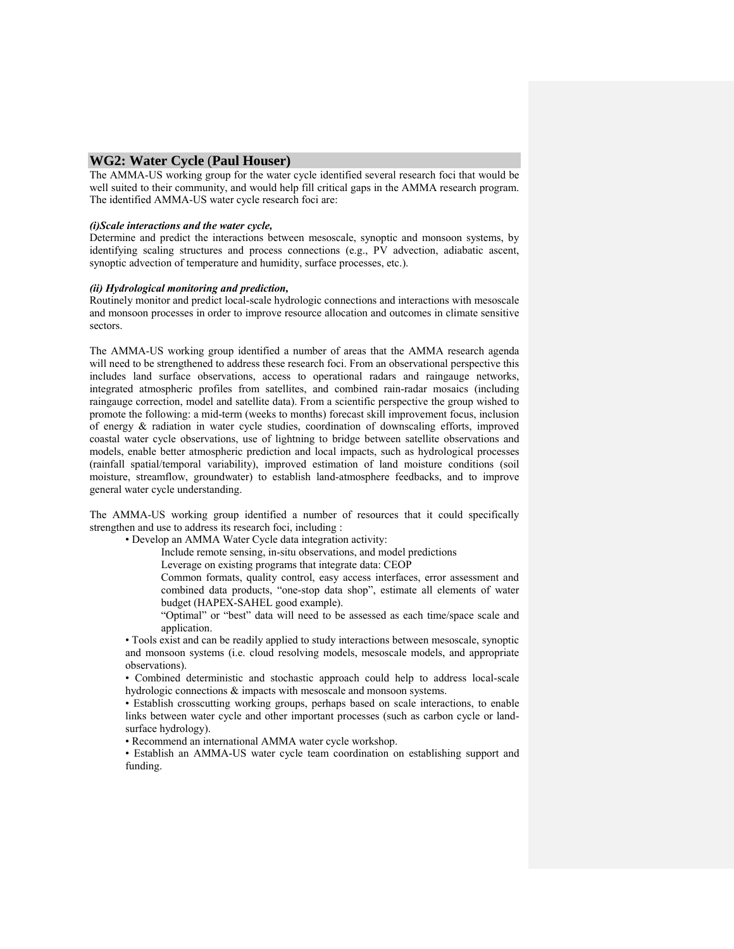## **WG2: Water Cycle** (**Paul Houser)**

The AMMA-US working group for the water cycle identified several research foci that would be well suited to their community, and would help fill critical gaps in the AMMA research program. The identified AMMA-US water cycle research foci are:

#### *(i)Scale interactions and the water cycle,*

Determine and predict the interactions between mesoscale, synoptic and monsoon systems, by identifying scaling structures and process connections (e.g., PV advection, adiabatic ascent, synoptic advection of temperature and humidity, surface processes, etc.).

#### *(ii) Hydrological monitoring and prediction,*

Routinely monitor and predict local-scale hydrologic connections and interactions with mesoscale and monsoon processes in order to improve resource allocation and outcomes in climate sensitive sectors.

The AMMA-US working group identified a number of areas that the AMMA research agenda will need to be strengthened to address these research foci. From an observational perspective this includes land surface observations, access to operational radars and raingauge networks, integrated atmospheric profiles from satellites, and combined rain-radar mosaics (including raingauge correction, model and satellite data). From a scientific perspective the group wished to promote the following: a mid-term (weeks to months) forecast skill improvement focus, inclusion of energy & radiation in water cycle studies, coordination of downscaling efforts, improved coastal water cycle observations, use of lightning to bridge between satellite observations and models, enable better atmospheric prediction and local impacts, such as hydrological processes (rainfall spatial/temporal variability), improved estimation of land moisture conditions (soil moisture, streamflow, groundwater) to establish land-atmosphere feedbacks, and to improve general water cycle understanding.

The AMMA-US working group identified a number of resources that it could specifically strengthen and use to address its research foci, including :

• Develop an AMMA Water Cycle data integration activity:

Include remote sensing, in-situ observations, and model predictions

Leverage on existing programs that integrate data: CEOP

Common formats, quality control, easy access interfaces, error assessment and combined data products, "one-stop data shop", estimate all elements of water budget (HAPEX-SAHEL good example).

"Optimal" or "best" data will need to be assessed as each time/space scale and application.

• Tools exist and can be readily applied to study interactions between mesoscale, synoptic and monsoon systems (i.e. cloud resolving models, mesoscale models, and appropriate observations).

• Combined deterministic and stochastic approach could help to address local-scale hydrologic connections & impacts with mesoscale and monsoon systems.

• Establish crosscutting working groups, perhaps based on scale interactions, to enable links between water cycle and other important processes (such as carbon cycle or landsurface hydrology).

• Recommend an international AMMA water cycle workshop.

• Establish an AMMA-US water cycle team coordination on establishing support and funding.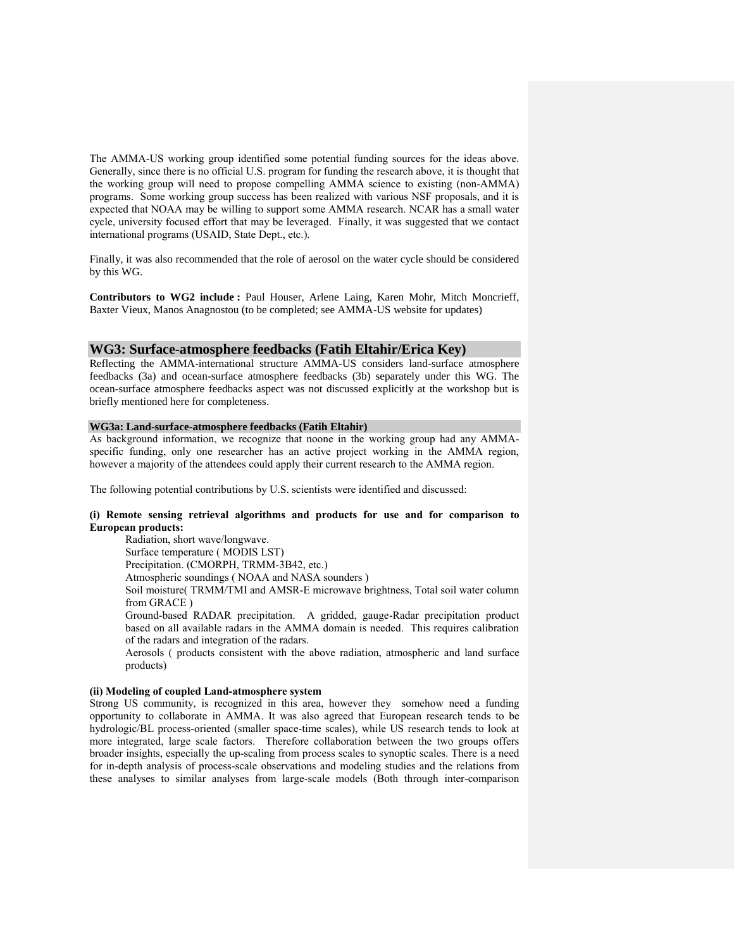The AMMA-US working group identified some potential funding sources for the ideas above. Generally, since there is no official U.S. program for funding the research above, it is thought that the working group will need to propose compelling AMMA science to existing (non-AMMA) programs. Some working group success has been realized with various NSF proposals, and it is expected that NOAA may be willing to support some AMMA research. NCAR has a small water cycle, university focused effort that may be leveraged. Finally, it was suggested that we contact international programs (USAID, State Dept., etc.).

Finally, it was also recommended that the role of aerosol on the water cycle should be considered by this WG.

**Contributors to WG2 include :** Paul Houser, Arlene Laing, Karen Mohr, Mitch Moncrieff, Baxter Vieux, Manos Anagnostou (to be completed; see AMMA-US website for updates)

#### **WG3: Surface-atmosphere feedbacks (Fatih Eltahir/Erica Key)**

Reflecting the AMMA-international structure AMMA-US considers land-surface atmosphere feedbacks (3a) and ocean-surface atmosphere feedbacks (3b) separately under this WG. The ocean-surface atmosphere feedbacks aspect was not discussed explicitly at the workshop but is briefly mentioned here for completeness.

#### **WG3a: Land-surface-atmosphere feedbacks (Fatih Eltahir)**

As background information, we recognize that noone in the working group had any AMMAspecific funding, only one researcher has an active project working in the AMMA region, however a majority of the attendees could apply their current research to the AMMA region.

The following potential contributions by U.S. scientists were identified and discussed:

#### **(i) Remote sensing retrieval algorithms and products for use and for comparison to European products:**

Radiation, short wave/longwave. Surface temperature ( MODIS LST)

Precipitation. (CMORPH, TRMM-3B42, etc.)

Atmospheric soundings ( NOAA and NASA sounders )

Soil moisture( TRMM/TMI and AMSR-E microwave brightness, Total soil water column from GRACE )

Ground-based RADAR precipitation. A gridded, gauge-Radar precipitation product based on all available radars in the AMMA domain is needed. This requires calibration of the radars and integration of the radars.

Aerosols ( products consistent with the above radiation, atmospheric and land surface products)

## **(ii) Modeling of coupled Land-atmosphere system**

Strong US community, is recognized in this area, however they somehow need a funding opportunity to collaborate in AMMA. It was also agreed that European research tends to be hydrologic/BL process-oriented (smaller space-time scales), while US research tends to look at more integrated, large scale factors. Therefore collaboration between the two groups offers broader insights, especially the up-scaling from process scales to synoptic scales. There is a need for in-depth analysis of process-scale observations and modeling studies and the relations from these analyses to similar analyses from large-scale models (Both through inter-comparison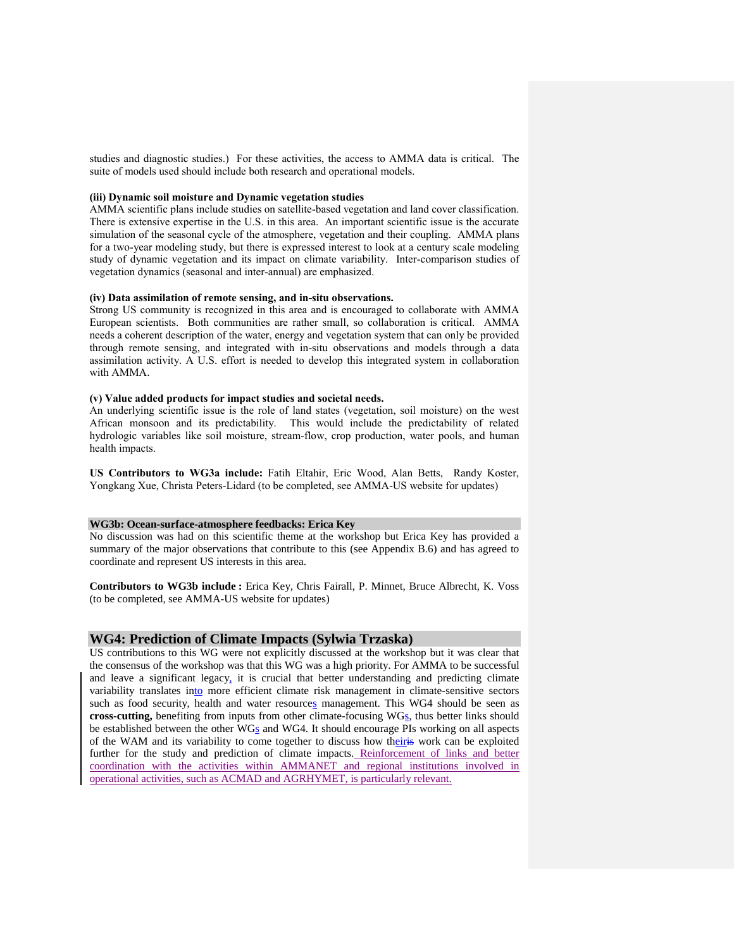studies and diagnostic studies.) For these activities, the access to AMMA data is critical. The suite of models used should include both research and operational models.

## **(iii) Dynamic soil moisture and Dynamic vegetation studies**

AMMA scientific plans include studies on satellite-based vegetation and land cover classification. There is extensive expertise in the U.S. in this area. An important scientific issue is the accurate simulation of the seasonal cycle of the atmosphere, vegetation and their coupling. AMMA plans for a two-year modeling study, but there is expressed interest to look at a century scale modeling study of dynamic vegetation and its impact on climate variability. Inter-comparison studies of vegetation dynamics (seasonal and inter-annual) are emphasized.

#### **(iv) Data assimilation of remote sensing, and in-situ observations.**

Strong US community is recognized in this area and is encouraged to collaborate with AMMA European scientists. Both communities are rather small, so collaboration is critical. AMMA needs a coherent description of the water, energy and vegetation system that can only be provided through remote sensing, and integrated with in-situ observations and models through a data assimilation activity. A U.S. effort is needed to develop this integrated system in collaboration with AMMA.

#### **(v) Value added products for impact studies and societal needs.**

An underlying scientific issue is the role of land states (vegetation, soil moisture) on the west African monsoon and its predictability. This would include the predictability of related hydrologic variables like soil moisture, stream-flow, crop production, water pools, and human health impacts.

**US Contributors to WG3a include:** Fatih Eltahir, Eric Wood, Alan Betts, Randy Koster, Yongkang Xue, Christa Peters-Lidard (to be completed, see AMMA-US website for updates)

#### **WG3b: Ocean-surface-atmosphere feedbacks: Erica Key**

No discussion was had on this scientific theme at the workshop but Erica Key has provided a summary of the major observations that contribute to this (see Appendix B.6) and has agreed to coordinate and represent US interests in this area.

**Contributors to WG3b include :** Erica Key, Chris Fairall, P. Minnet, Bruce Albrecht, K. Voss (to be completed, see AMMA-US website for updates)

## **WG4: Prediction of Climate Impacts (Sylwia Trzaska)**

US contributions to this WG were not explicitly discussed at the workshop but it was clear that the consensus of the workshop was that this WG was a high priority. For AMMA to be successful and leave a significant legacy, it is crucial that better understanding and predicting climate variability translates into more efficient climate risk management in climate-sensitive sectors such as food security, health and water resources management. This WG4 should be seen as cross-cutting, benefiting from inputs from other climate-focusing WG<sub>S</sub>, thus better links should be established between the other WGs and WG4. It should encourage PIs working on all aspects of the WAM and its variability to come together to discuss how theiris work can be exploited further for the study and prediction of climate impacts. Reinforcement of links and better coordination with the activities within AMMANET and regional institutions involved in operational activities, such as ACMAD and AGRHYMET, is particularly relevant.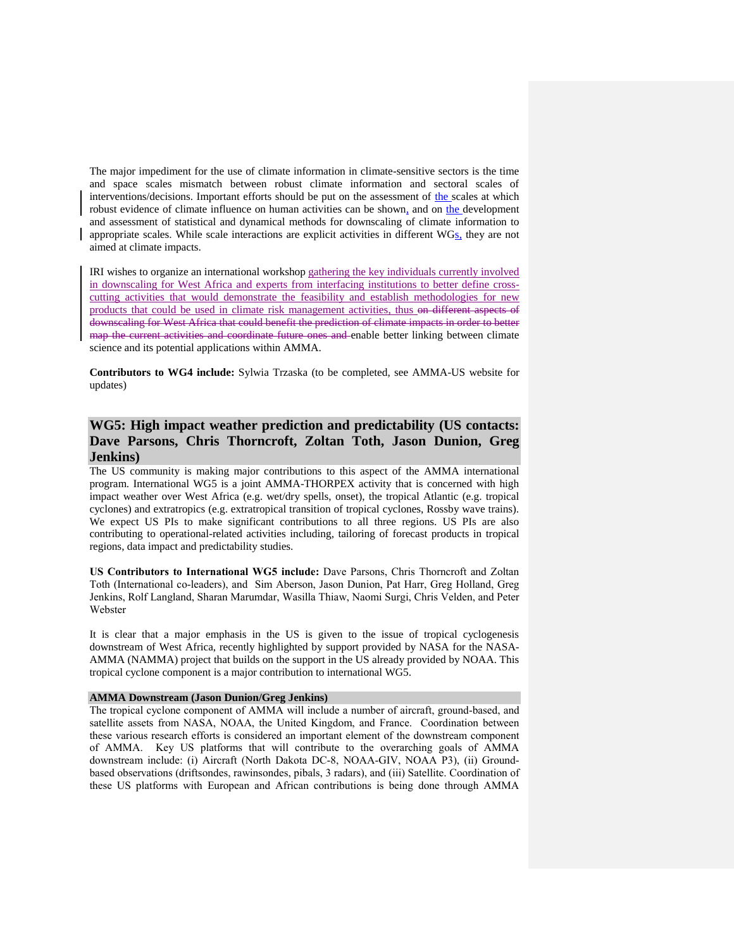The major impediment for the use of climate information in climate-sensitive sectors is the time and space scales mismatch between robust climate information and sectoral scales of interventions/decisions. Important efforts should be put on the assessment of the scales at which robust evidence of climate influence on human activities can be shown, and on the development and assessment of statistical and dynamical methods for downscaling of climate information to appropriate scales. While scale interactions are explicit activities in different WGs, they are not aimed at climate impacts.

IRI wishes to organize an international workshop gathering the key individuals currently involved in downscaling for West Africa and experts from interfacing institutions to better define crosscutting activities that would demonstrate the feasibility and establish methodologies for new products that could be used in climate risk management activities, thus on different aspects of downscaling for West Africa that could benefit the prediction of climate impacts in order to better map the current activities and coordinate future ones and enable better linking between climate science and its potential applications within AMMA.

**Contributors to WG4 include:** Sylwia Trzaska (to be completed, see AMMA-US website for updates)

## **WG5: High impact weather prediction and predictability (US contacts: Dave Parsons, Chris Thorncroft, Zoltan Toth, Jason Dunion, Greg Jenkins)**

The US community is making major contributions to this aspect of the AMMA international program. International WG5 is a joint AMMA-THORPEX activity that is concerned with high impact weather over West Africa (e.g. wet/dry spells, onset), the tropical Atlantic (e.g. tropical cyclones) and extratropics (e.g. extratropical transition of tropical cyclones, Rossby wave trains). We expect US PIs to make significant contributions to all three regions. US PIs are also contributing to operational-related activities including, tailoring of forecast products in tropical regions, data impact and predictability studies.

**US Contributors to International WG5 include:** Dave Parsons, Chris Thorncroft and Zoltan Toth (International co-leaders), and Sim Aberson, Jason Dunion, Pat Harr, Greg Holland, Greg Jenkins, Rolf Langland, Sharan Marumdar, Wasilla Thiaw, Naomi Surgi, Chris Velden, and Peter Webster

It is clear that a major emphasis in the US is given to the issue of tropical cyclogenesis downstream of West Africa, recently highlighted by support provided by NASA for the NASA-AMMA (NAMMA) project that builds on the support in the US already provided by NOAA. This tropical cyclone component is a major contribution to international WG5.

#### **AMMA Downstream (Jason Dunion/Greg Jenkins)**

The tropical cyclone component of AMMA will include a number of aircraft, ground-based, and satellite assets from NASA, NOAA, the United Kingdom, and France. Coordination between these various research efforts is considered an important element of the downstream component of AMMA. Key US platforms that will contribute to the overarching goals of AMMA downstream include: (i) Aircraft (North Dakota DC-8, NOAA-GIV, NOAA P3), (ii) Groundbased observations (driftsondes, rawinsondes, pibals, 3 radars), and (iii) Satellite. Coordination of these US platforms with European and African contributions is being done through AMMA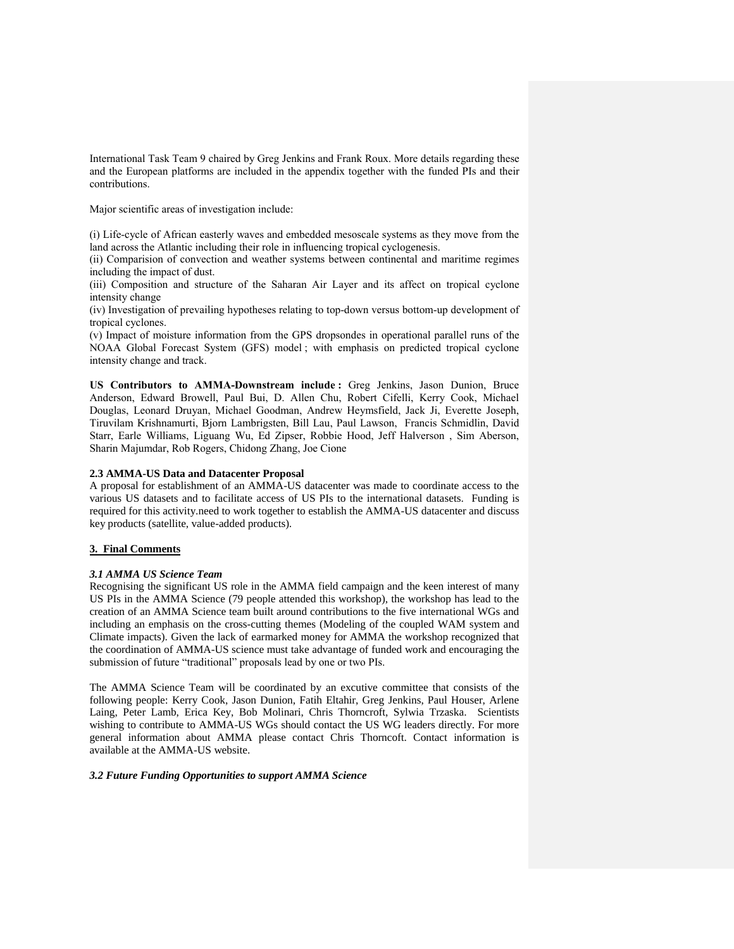International Task Team 9 chaired by Greg Jenkins and Frank Roux. More details regarding these and the European platforms are included in the appendix together with the funded PIs and their contributions.

Major scientific areas of investigation include:

(i) Life-cycle of African easterly waves and embedded mesoscale systems as they move from the land across the Atlantic including their role in influencing tropical cyclogenesis.

(ii) Comparision of convection and weather systems between continental and maritime regimes including the impact of dust.

(iii) Composition and structure of the Saharan Air Layer and its affect on tropical cyclone intensity change

(iv) Investigation of prevailing hypotheses relating to top-down versus bottom-up development of tropical cyclones.

(v) Impact of moisture information from the GPS dropsondes in operational parallel runs of the NOAA Global Forecast System (GFS) model ; with emphasis on predicted tropical cyclone intensity change and track.

**US Contributors to AMMA-Downstream include :** Greg Jenkins, Jason Dunion, Bruce Anderson, Edward Browell, Paul Bui, D. Allen Chu, Robert Cifelli, Kerry Cook, Michael Douglas, Leonard Druyan, Michael Goodman, Andrew Heymsfield, Jack Ji, Everette Joseph, Tiruvilam Krishnamurti, Bjorn Lambrigsten, Bill Lau, Paul Lawson, Francis Schmidlin, David Starr, Earle Williams, Liguang Wu, Ed Zipser, Robbie Hood, Jeff Halverson , Sim Aberson, Sharin Majumdar, Rob Rogers, Chidong Zhang, Joe Cione

#### **2.3 AMMA-US Data and Datacenter Proposal**

A proposal for establishment of an AMMA-US datacenter was made to coordinate access to the various US datasets and to facilitate access of US PIs to the international datasets. Funding is required for this activity.need to work together to establish the AMMA-US datacenter and discuss key products (satellite, value-added products).

#### **3. Final Comments**

#### *3.1 AMMA US Science Team*

Recognising the significant US role in the AMMA field campaign and the keen interest of many US PIs in the AMMA Science (79 people attended this workshop), the workshop has lead to the creation of an AMMA Science team built around contributions to the five international WGs and including an emphasis on the cross-cutting themes (Modeling of the coupled WAM system and Climate impacts). Given the lack of earmarked money for AMMA the workshop recognized that the coordination of AMMA-US science must take advantage of funded work and encouraging the submission of future "traditional" proposals lead by one or two PIs.

The AMMA Science Team will be coordinated by an excutive committee that consists of the following people: Kerry Cook, Jason Dunion, Fatih Eltahir, Greg Jenkins, Paul Houser, Arlene Laing, Peter Lamb, Erica Key, Bob Molinari, Chris Thorncroft, Sylwia Trzaska. Scientists wishing to contribute to AMMA-US WGs should contact the US WG leaders directly. For more general information about AMMA please contact Chris Thorncoft. Contact information is available at the AMMA-US website.

*3.2 Future Funding Opportunities to support AMMA Science*